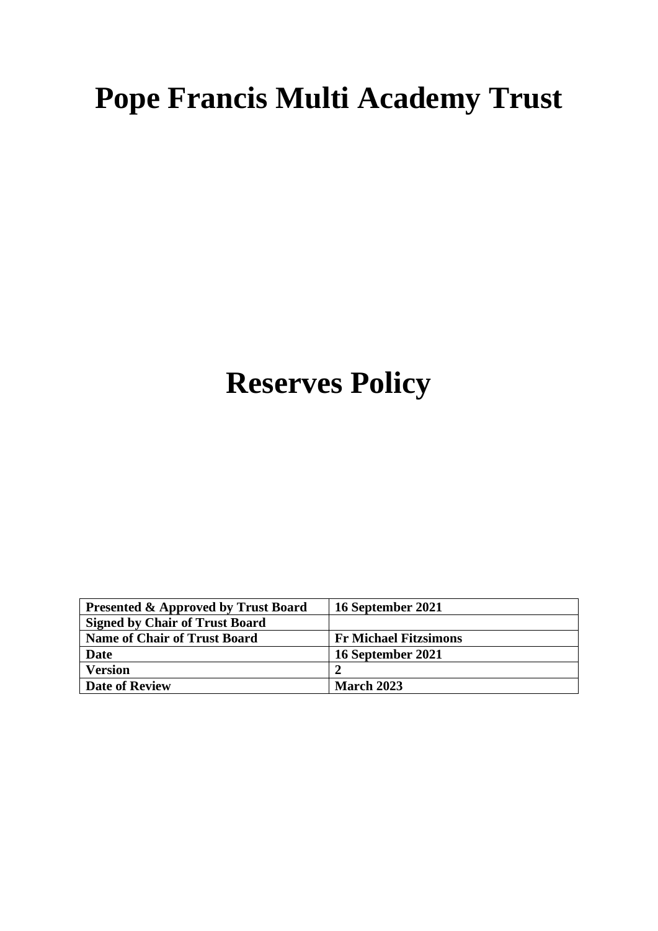## **Pope Francis Multi Academy Trust**

# **Reserves Policy**

| <b>Presented &amp; Approved by Trust Board</b> | 16 September 2021            |
|------------------------------------------------|------------------------------|
| <b>Signed by Chair of Trust Board</b>          |                              |
| <b>Name of Chair of Trust Board</b>            | <b>Fr Michael Fitzsimons</b> |
| Date                                           | 16 September 2021            |
| <b>Version</b>                                 |                              |
| <b>Date of Review</b>                          | <b>March 2023</b>            |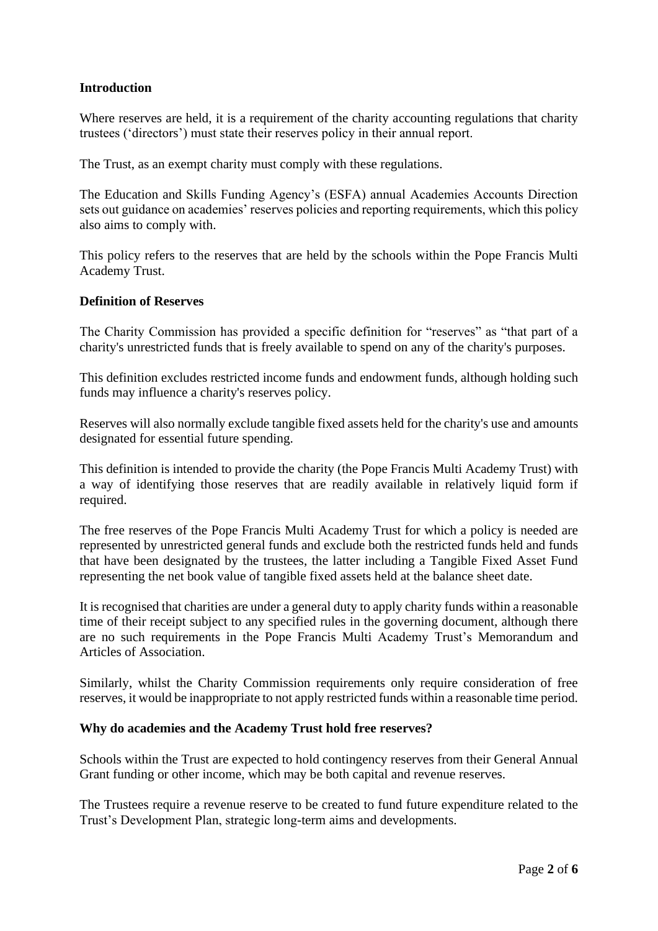## **Introduction**

Where reserves are held, it is a requirement of the charity accounting regulations that charity trustees ('directors') must state their reserves policy in their annual report.

The Trust, as an exempt charity must comply with these regulations.

The Education and Skills Funding Agency's (ESFA) annual Academies Accounts Direction sets out guidance on academies' reserves policies and reporting requirements, which this policy also aims to comply with.

This policy refers to the reserves that are held by the schools within the Pope Francis Multi Academy Trust.

## **Definition of Reserves**

The Charity Commission has provided a specific definition for "reserves" as "that part of a charity's unrestricted funds that is freely available to spend on any of the charity's purposes.

This definition excludes restricted income funds and endowment funds, although holding such funds may influence a charity's reserves policy.

Reserves will also normally exclude tangible fixed assets held for the charity's use and amounts designated for essential future spending.

This definition is intended to provide the charity (the Pope Francis Multi Academy Trust) with a way of identifying those reserves that are readily available in relatively liquid form if required.

The free reserves of the Pope Francis Multi Academy Trust for which a policy is needed are represented by unrestricted general funds and exclude both the restricted funds held and funds that have been designated by the trustees, the latter including a Tangible Fixed Asset Fund representing the net book value of tangible fixed assets held at the balance sheet date.

It is recognised that charities are under a general duty to apply charity funds within a reasonable time of their receipt subject to any specified rules in the governing document, although there are no such requirements in the Pope Francis Multi Academy Trust's Memorandum and Articles of Association.

Similarly, whilst the Charity Commission requirements only require consideration of free reserves, it would be inappropriate to not apply restricted funds within a reasonable time period.

## **Why do academies and the Academy Trust hold free reserves?**

Schools within the Trust are expected to hold contingency reserves from their General Annual Grant funding or other income, which may be both capital and revenue reserves.

The Trustees require a revenue reserve to be created to fund future expenditure related to the Trust's Development Plan, strategic long-term aims and developments.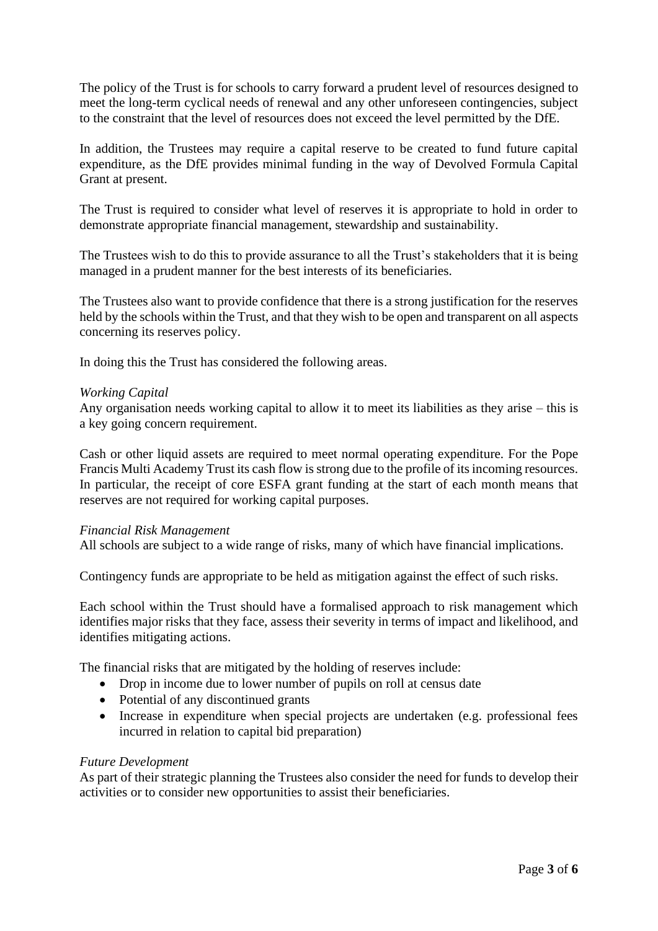The policy of the Trust is for schools to carry forward a prudent level of resources designed to meet the long-term cyclical needs of renewal and any other unforeseen contingencies, subject to the constraint that the level of resources does not exceed the level permitted by the DfE.

In addition, the Trustees may require a capital reserve to be created to fund future capital expenditure, as the DfE provides minimal funding in the way of Devolved Formula Capital Grant at present.

The Trust is required to consider what level of reserves it is appropriate to hold in order to demonstrate appropriate financial management, stewardship and sustainability.

The Trustees wish to do this to provide assurance to all the Trust's stakeholders that it is being managed in a prudent manner for the best interests of its beneficiaries.

The Trustees also want to provide confidence that there is a strong justification for the reserves held by the schools within the Trust, and that they wish to be open and transparent on all aspects concerning its reserves policy.

In doing this the Trust has considered the following areas.

#### *Working Capital*

Any organisation needs working capital to allow it to meet its liabilities as they arise – this is a key going concern requirement.

Cash or other liquid assets are required to meet normal operating expenditure. For the Pope Francis Multi Academy Trust its cash flow is strong due to the profile of its incoming resources. In particular, the receipt of core ESFA grant funding at the start of each month means that reserves are not required for working capital purposes.

## *Financial Risk Management*

All schools are subject to a wide range of risks, many of which have financial implications.

Contingency funds are appropriate to be held as mitigation against the effect of such risks.

Each school within the Trust should have a formalised approach to risk management which identifies major risks that they face, assess their severity in terms of impact and likelihood, and identifies mitigating actions.

The financial risks that are mitigated by the holding of reserves include:

- Drop in income due to lower number of pupils on roll at census date
- Potential of any discontinued grants
- Increase in expenditure when special projects are undertaken (e.g. professional fees incurred in relation to capital bid preparation)

## *Future Development*

As part of their strategic planning the Trustees also consider the need for funds to develop their activities or to consider new opportunities to assist their beneficiaries.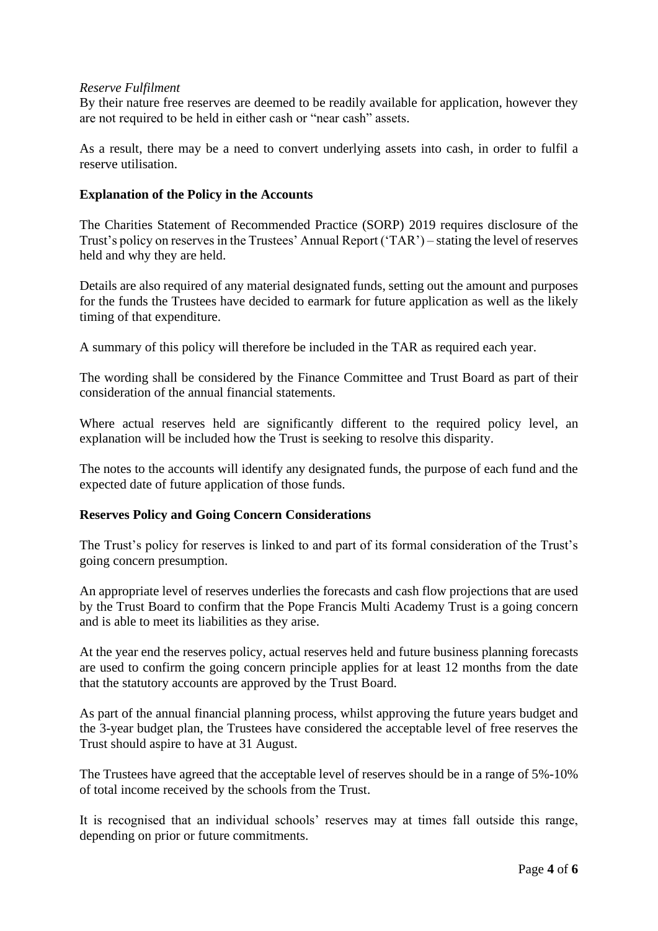## *Reserve Fulfilment*

By their nature free reserves are deemed to be readily available for application, however they are not required to be held in either cash or "near cash" assets.

As a result, there may be a need to convert underlying assets into cash, in order to fulfil a reserve utilisation.

## **Explanation of the Policy in the Accounts**

The Charities Statement of Recommended Practice (SORP) 2019 requires disclosure of the Trust's policy on reserves in the Trustees' Annual Report ('TAR') – stating the level of reserves held and why they are held.

Details are also required of any material designated funds, setting out the amount and purposes for the funds the Trustees have decided to earmark for future application as well as the likely timing of that expenditure.

A summary of this policy will therefore be included in the TAR as required each year.

The wording shall be considered by the Finance Committee and Trust Board as part of their consideration of the annual financial statements.

Where actual reserves held are significantly different to the required policy level, an explanation will be included how the Trust is seeking to resolve this disparity.

The notes to the accounts will identify any designated funds, the purpose of each fund and the expected date of future application of those funds.

## **Reserves Policy and Going Concern Considerations**

The Trust's policy for reserves is linked to and part of its formal consideration of the Trust's going concern presumption.

An appropriate level of reserves underlies the forecasts and cash flow projections that are used by the Trust Board to confirm that the Pope Francis Multi Academy Trust is a going concern and is able to meet its liabilities as they arise.

At the year end the reserves policy, actual reserves held and future business planning forecasts are used to confirm the going concern principle applies for at least 12 months from the date that the statutory accounts are approved by the Trust Board.

As part of the annual financial planning process, whilst approving the future years budget and the 3-year budget plan, the Trustees have considered the acceptable level of free reserves the Trust should aspire to have at 31 August.

The Trustees have agreed that the acceptable level of reserves should be in a range of 5%-10% of total income received by the schools from the Trust.

It is recognised that an individual schools' reserves may at times fall outside this range, depending on prior or future commitments.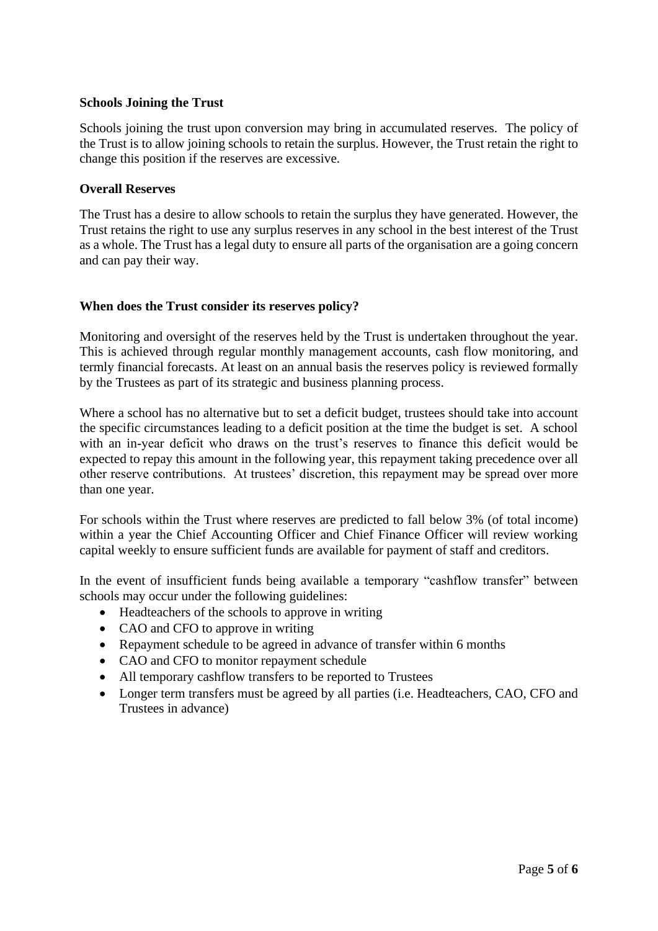## **Schools Joining the Trust**

Schools joining the trust upon conversion may bring in accumulated reserves. The policy of the Trust is to allow joining schools to retain the surplus. However, the Trust retain the right to change this position if the reserves are excessive.

## **Overall Reserves**

The Trust has a desire to allow schools to retain the surplus they have generated. However, the Trust retains the right to use any surplus reserves in any school in the best interest of the Trust as a whole. The Trust has a legal duty to ensure all parts of the organisation are a going concern and can pay their way.

## **When does the Trust consider its reserves policy?**

Monitoring and oversight of the reserves held by the Trust is undertaken throughout the year. This is achieved through regular monthly management accounts, cash flow monitoring, and termly financial forecasts. At least on an annual basis the reserves policy is reviewed formally by the Trustees as part of its strategic and business planning process.

Where a school has no alternative but to set a deficit budget, trustees should take into account the specific circumstances leading to a deficit position at the time the budget is set. A school with an in-year deficit who draws on the trust's reserves to finance this deficit would be expected to repay this amount in the following year, this repayment taking precedence over all other reserve contributions. At trustees' discretion, this repayment may be spread over more than one year.

For schools within the Trust where reserves are predicted to fall below 3% (of total income) within a year the Chief Accounting Officer and Chief Finance Officer will review working capital weekly to ensure sufficient funds are available for payment of staff and creditors.

In the event of insufficient funds being available a temporary "cashflow transfer" between schools may occur under the following guidelines:

- Headteachers of the schools to approve in writing
- CAO and CFO to approve in writing
- Repayment schedule to be agreed in advance of transfer within 6 months
- CAO and CFO to monitor repayment schedule
- All temporary cashflow transfers to be reported to Trustees
- Longer term transfers must be agreed by all parties (i.e. Headteachers, CAO, CFO and Trustees in advance)